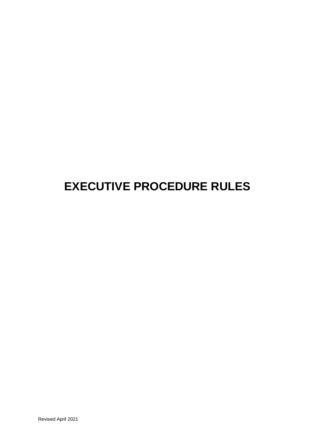# **EXECUTIVE PROCEDURE RULES**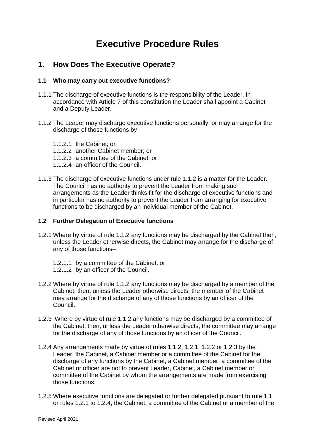# **Executive Procedure Rules**

# **1. How Does The Executive Operate?**

# **1.1 Who may carry out executive functions?**

- 1.1.1 The discharge of executive functions is the responsibility of the Leader. In accordance with Article 7 of this constitution the Leader shall appoint a Cabinet and a Deputy Leader.
- 1.1.2 The Leader may discharge executive functions personally, or may arrange for the discharge of those functions by
	- 1.1.2.1 the Cabinet; or
	- 1.1.2.2 another Cabinet member; or
	- 1.1.2.3 a committee of the Cabinet; or
	- 1.1.2.4 an officer of the Council.
- 1.1.3 The discharge of executive functions under rule 1.1.2 is a matter for the Leader. The Council has no authority to prevent the Leader from making such arrangements as the Leader thinks fit for the discharge of executive functions and in particular has no authority to prevent the Leader from arranging for executive functions to be discharged by an individual member of the Cabinet.

#### **1.2 Further Delegation of Executive functions**

- 1.2.1 Where by virtue of rule 1.1.2 any functions may be discharged by the Cabinet then, unless the Leader otherwise directs, the Cabinet may arrange for the discharge of any of those functions–
	- 1.2.1.1 by a committee of the Cabinet, or
	- 1.2.1.2 by an officer of the Council.
- 1.2.2 Where by virtue of rule 1.1.2 any functions may be discharged by a member of the Cabinet, then, unless the Leader otherwise directs, the member of the Cabinet may arrange for the discharge of any of those functions by an officer of the Council.
- 1.2.3 Where by virtue of rule 1.1.2 any functions may be discharged by a committee of the Cabinet, then, unless the Leader otherwise directs, the committee may arrange for the discharge of any of those functions by an officer of the Council.
- 1.2.4 Any arrangements made by virtue of rules 1.1.2, 1.2.1, 1.2.2 or 1.2.3 by the Leader, the Cabinet, a Cabinet member or a committee of the Cabinet for the discharge of any functions by the Cabinet, a Cabinet member, a committee of the Cabinet or officer are not to prevent Leader, Cabinet, a Cabinet member or committee of the Cabinet by whom the arrangements are made from exercising those functions.
- 1.2.5 Where executive functions are delegated or further delegated pursuant to rule 1.1 or rules 1.2.1 to 1.2.4, the Cabinet, a committee of the Cabinet or a member of the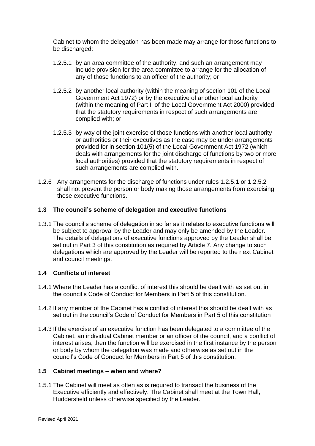Cabinet to whom the delegation has been made may arrange for those functions to be discharged:

- 1.2.5.1 by an area committee of the authority, and such an arrangement may include provision for the area committee to arrange for the allocation of any of those functions to an officer of the authority; or
- 1.2.5.2 by another local authority (within the meaning of section 101 of the Local Government Act 1972) or by the executive of another local authority (within the meaning of Part II of the Local Government Act 2000) provided that the statutory requirements in respect of such arrangements are complied with; or
- 1.2.5.3 by way of the joint exercise of those functions with another local authority or authorities or their executives as the case may be under arrangements provided for in section 101(5) of the Local Government Act 1972 (which deals with arrangements for the joint discharge of functions by two or more local authorities) provided that the statutory requirements in respect of such arrangements are complied with.
- 1.2.6 Any arrangements for the discharge of functions under rules 1.2.5.1 or 1.2.5.2 shall not prevent the person or body making those arrangements from exercising those executive functions.

# **1.3 The council's scheme of delegation and executive functions**

1.3.1 The council's scheme of delegation in so far as it relates to executive functions will be subject to approval by the Leader and may only be amended by the Leader. The details of delegations of executive functions approved by the Leader shall be set out in Part 3 of this constitution as required by Article 7. Any change to such delegations which are approved by the Leader will be reported to the next Cabinet and council meetings.

# **1.4 Conflicts of interest**

- 1.4.1 Where the Leader has a conflict of interest this should be dealt with as set out in the council's Code of Conduct for Members in Part 5 of this constitution.
- 1.4.2 If any member of the Cabinet has a conflict of interest this should be dealt with as set out in the council's Code of Conduct for Members in Part 5 of this constitution
- 1.4.3 If the exercise of an executive function has been delegated to a committee of the Cabinet, an individual Cabinet member or an officer of the council, and a conflict of interest arises, then the function will be exercised in the first instance by the person or body by whom the delegation was made and otherwise as set out in the council's Code of Conduct for Members in Part 5 of this constitution.

# **1.5 Cabinet meetings – when and where?**

1.5.1 The Cabinet will meet as often as is required to transact the business of the Executive efficiently and effectively. The Cabinet shall meet at the Town Hall, Huddersfield unless otherwise specified by the Leader.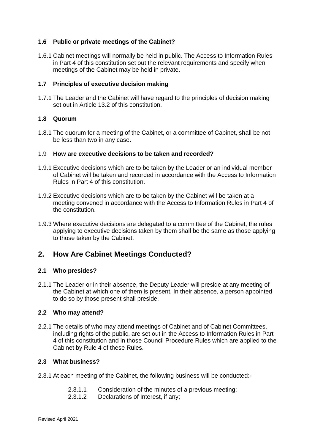# **1.6 Public or private meetings of the Cabinet?**

1.6.1 Cabinet meetings will normally be held in public. The Access to Information Rules in Part 4 of this constitution set out the relevant requirements and specify when meetings of the Cabinet may be held in private.

### **1.7 Principles of executive decision making**

1.7.1 The Leader and the Cabinet will have regard to the principles of decision making set out in Article 13.2 of this constitution.

# **1.8 Quorum**

1.8.1 The quorum for a meeting of the Cabinet, or a committee of Cabinet, shall be not be less than two in any case.

#### 1.9 **How are executive decisions to be taken and recorded?**

- 1.9.1 Executive decisions which are to be taken by the Leader or an individual member of Cabinet will be taken and recorded in accordance with the Access to Information Rules in Part 4 of this constitution.
- 1.9.2 Executive decisions which are to be taken by the Cabinet will be taken at a meeting convened in accordance with the Access to Information Rules in Part 4 of the constitution.
- 1.9.3 Where executive decisions are delegated to a committee of the Cabinet, the rules applying to executive decisions taken by them shall be the same as those applying to those taken by the Cabinet.

# **2. How Are Cabinet Meetings Conducted?**

#### **2.1 Who presides?**

2.1.1 The Leader or in their absence, the Deputy Leader will preside at any meeting of the Cabinet at which one of them is present. In their absence, a person appointed to do so by those present shall preside.

#### **2.2 Who may attend?**

2.2.1 The details of who may attend meetings of Cabinet and of Cabinet Committees, including rights of the public, are set out in the Access to Information Rules in Part 4 of this constitution and in those Council Procedure Rules which are applied to the Cabinet by Rule 4 of these Rules.

#### **2.3 What business?**

- 2.3.1 At each meeting of the Cabinet, the following business will be conducted:-
	- 2.3.1.1 Consideration of the minutes of a previous meeting;
	- 2.3.1.2 Declarations of Interest, if any;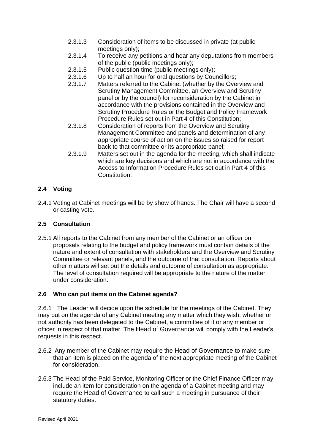- 2.3.1.3 Consideration of items to be discussed in private (at public meetings only);
- 2.3.1.4 To receive any petitions and hear any deputations from members of the public (public meetings only);
- 2.3.1.5 Public question time (public meetings only);
- 2.3.1.6 Up to half an hour for oral questions by Councillors;
- 2.3.1.7 Matters referred to the Cabinet (whether by the Overview and Scrutiny Management Committee, an Overview and Scrutiny panel or by the council) for reconsideration by the Cabinet in accordance with the provisions contained in the Overview and Scrutiny Procedure Rules or the Budget and Policy Framework Procedure Rules set out in Part 4 of this Constitution;
- 2.3.1.8 Consideration of reports from the Overview and Scrutiny Management Committee and panels and determination of any appropriate course of action on the issues so raised for report back to that committee or its appropriate panel;
- 2.3.1.9 Matters set out in the agenda for the meeting, which shall indicate which are key decisions and which are not in accordance with the Access to Information Procedure Rules set out in Part 4 of this Constitution.

# **2.4 Voting**

2.4.1 Voting at Cabinet meetings will be by show of hands. The Chair will have a second or casting vote.

# **2.5 Consultation**

2.5.1 All reports to the Cabinet from any member of the Cabinet or an officer on proposals relating to the budget and policy framework must contain details of the nature and extent of consultation with stakeholders and the Overview and Scrutiny Committee or relevant panels, and the outcome of that consultation. Reports about other matters will set out the details and outcome of consultation as appropriate. The level of consultation required will be appropriate to the nature of the matter under consideration.

# **2.6 Who can put items on the Cabinet agenda?**

2.6.1 The Leader will decide upon the schedule for the meetings of the Cabinet. They may put on the agenda of any Cabinet meeting any matter which they wish, whether or not authority has been delegated to the Cabinet, a committee of it or any member or officer in respect of that matter. The Head of Governance will comply with the Leader's requests in this respect.

- 2.6.2 Any member of the Cabinet may require the Head of Governance to make sure that an item is placed on the agenda of the next appropriate meeting of the Cabinet for consideration.
- 2.6.3 The Head of the Paid Service, Monitoring Officer or the Chief Finance Officer may include an item for consideration on the agenda of a Cabinet meeting and may require the Head of Governance to call such a meeting in pursuance of their statutory duties.